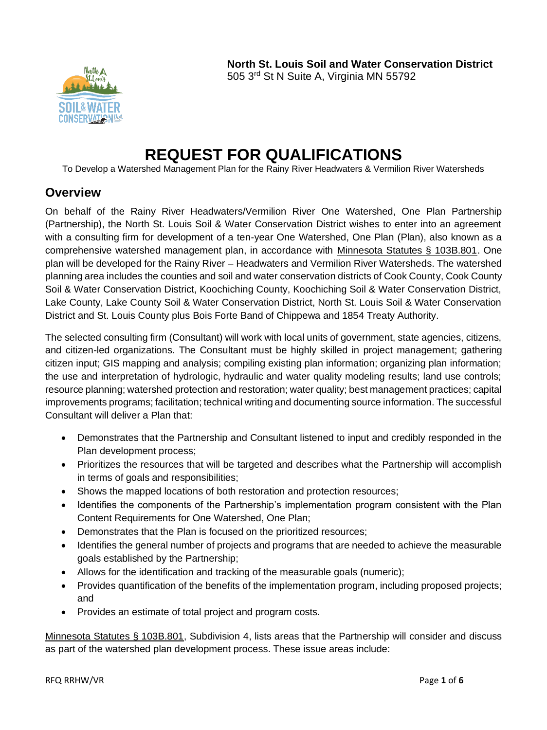

# **REQUEST FOR QUALIFICATIONS**

To Develop a Watershed Management Plan for the Rainy River Headwaters & Vermilion River Watersheds

# **Overview**

On behalf of the Rainy River Headwaters/Vermilion River One Watershed, One Plan Partnership (Partnership), the North St. Louis Soil & Water Conservation District wishes to enter into an agreement with a consulting firm for development of a ten-year One Watershed, One Plan (Plan), also known as a comprehensive watershed management plan, in accordance with [Minnesota Statutes § 103B.801.](https://www.revisor.mn.gov/statutes/?id=103B.801) One plan will be developed for the Rainy River – Headwaters and Vermilion River Watersheds. The watershed planning area includes the counties and soil and water conservation districts of Cook County, Cook County Soil & Water Conservation District, Koochiching County, Koochiching Soil & Water Conservation District, Lake County, Lake County Soil & Water Conservation District, North St. Louis Soil & Water Conservation District and St. Louis County plus Bois Forte Band of Chippewa and 1854 Treaty Authority.

The selected consulting firm (Consultant) will work with local units of government, state agencies, citizens, and citizen-led organizations. The Consultant must be highly skilled in project management; gathering citizen input; GIS mapping and analysis; compiling existing plan information; organizing plan information; the use and interpretation of hydrologic, hydraulic and water quality modeling results; land use controls; resource planning; watershed protection and restoration; water quality; best management practices; capital improvements programs; facilitation; technical writing and documenting source information. The successful Consultant will deliver a Plan that:

- Demonstrates that the Partnership and Consultant listened to input and credibly responded in the Plan development process;
- Prioritizes the resources that will be targeted and describes what the Partnership will accomplish in terms of goals and responsibilities;
- Shows the mapped locations of both restoration and protection resources;
- Identifies the components of the Partnership's implementation program consistent with the Plan Content Requirements for One Watershed, One Plan;
- Demonstrates that the Plan is focused on the prioritized resources;
- Identifies the general number of projects and programs that are needed to achieve the measurable goals established by the Partnership;
- Allows for the identification and tracking of the measurable goals (numeric);
- Provides quantification of the benefits of the implementation program, including proposed projects; and
- Provides an estimate of total project and program costs.

[Minnesota Statutes § 103B.801,](https://www.revisor.mn.gov/statutes/?id=103B.801) Subdivision 4, lists areas that the Partnership will consider and discuss as part of the watershed plan development process. These issue areas include: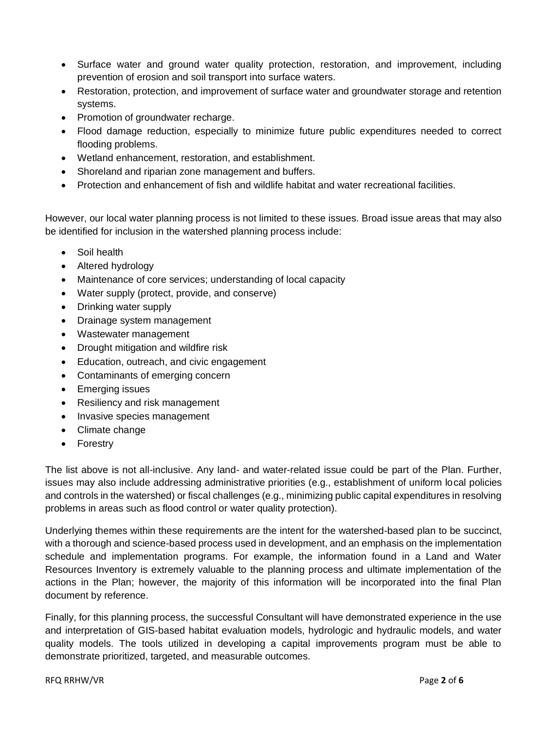- Surface water and ground water quality protection, restoration, and improvement, including prevention of erosion and soil transport into surface waters.
- Restoration, protection, and improvement of surface water and groundwater storage and retention systems.
- Promotion of groundwater recharge.
- Flood damage reduction, especially to minimize future public expenditures needed to correct flooding problems.
- Wetland enhancement, restoration, and establishment.
- Shoreland and riparian zone management and buffers.
- Protection and enhancement of fish and wildlife habitat and water recreational facilities.

However, our local water planning process is not limited to these issues. Broad issue areas that may also be identified for inclusion in the watershed planning process include:

- Soil health
- Altered hydrology
- Maintenance of core services; understanding of local capacity
- Water supply (protect, provide, and conserve)
- Drinking water supply
- Drainage system management
- Wastewater management
- Drought mitigation and wildfire risk
- Education, outreach, and civic engagement
- Contaminants of emerging concern
- Emerging issues
- Resiliency and risk management
- Invasive species management
- Climate change
- Forestry

The list above is not all-inclusive. Any land- and water-related issue could be part of the Plan. Further, issues may also include addressing administrative priorities (e.g., establishment of uniform local policies and controls in the watershed) or fiscal challenges (e.g., minimizing public capital expenditures in resolving problems in areas such as flood control or water quality protection).

Underlying themes within these requirements are the intent for the watershed-based plan to be succinct, with a thorough and science-based process used in development, and an emphasis on the implementation schedule and implementation programs. For example, the information found in a Land and Water Resources Inventory is extremely valuable to the planning process and ultimate implementation of the actions in the Plan; however, the majority of this information will be incorporated into the final Plan document by reference.

Finally, for this planning process, the successful Consultant will have demonstrated experience in the use and interpretation of GIS-based habitat evaluation models, hydrologic and hydraulic models, and water quality models. The tools utilized in developing a capital improvements program must be able to demonstrate prioritized, targeted, and measurable outcomes.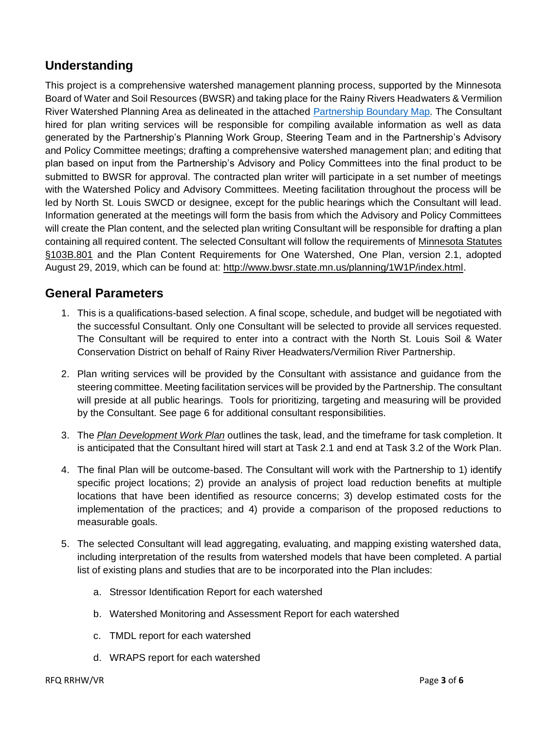# **Understanding**

This project is a comprehensive watershed management planning process, supported by the Minnesota Board of Water and Soil Resources (BWSR) and taking place for the Rainy Rivers Headwaters & Vermilion River Watershed Planning Area as delineated in the attached [Partnership Boundary Map](https://1drv.ms/b/s!AnZQqhBLZDlFgf8yxvCnvpmjHd9X6w)*.* The Consultant hired for plan writing services will be responsible for compiling available information as well as data generated by the Partnership's Planning Work Group, Steering Team and in the Partnership's Advisory and Policy Committee meetings; drafting a comprehensive watershed management plan; and editing that plan based on input from the Partnership's Advisory and Policy Committees into the final product to be submitted to BWSR for approval. The contracted plan writer will participate in a set number of meetings with the Watershed Policy and Advisory Committees. Meeting facilitation throughout the process will be led by North St. Louis SWCD or designee, except for the public hearings which the Consultant will lead. Information generated at the meetings will form the basis from which the Advisory and Policy Committees will create the Plan content, and the selected plan writing Consultant will be responsible for drafting a plan containing all required content. The selected Consultant will follow the requirements of [Minnesota Statutes](https://www.revisor.mn.gov/statutes/?id=103B.801)  [§103B.801](https://www.revisor.mn.gov/statutes/?id=103B.801) and the Plan Content Requirements for One Watershed, One Plan, version 2.1, adopted August 29, 2019, which can be found at: [http://www.bwsr.state.mn.us/planning/1W1P/index.html.](http://www.bwsr.state.mn.us/planning/1W1P/index.html)

# **General Parameters**

- 1. This is a qualifications-based selection. A final scope, schedule, and budget will be negotiated with the successful Consultant. Only one Consultant will be selected to provide all services requested. The Consultant will be required to enter into a contract with the North St. Louis Soil & Water Conservation District on behalf of Rainy River Headwaters/Vermilion River Partnership.
- 2. Plan writing services will be provided by the Consultant with assistance and guidance from the steering committee. Meeting facilitation services will be provided by the Partnership. The consultant will preside at all public hearings. Tools for prioritizing, targeting and measuring will be provided by the Consultant. See page 6 for additional consultant responsibilities.
- 3. The *[Plan Development Work Plan](https://1drv.ms/w/s!AnZQqhBLZDlFgfdLJvdaVTo3gFhwXg?e=rk3wbR)* outlines the task, lead, and the timeframe for task completion. It is anticipated that the Consultant hired will start at Task 2.1 and end at Task 3.2 of the Work Plan.
- 4. The final Plan will be outcome-based. The Consultant will work with the Partnership to 1) identify specific project locations; 2) provide an analysis of project load reduction benefits at multiple locations that have been identified as resource concerns; 3) develop estimated costs for the implementation of the practices; and 4) provide a comparison of the proposed reductions to measurable goals.
- 5. The selected Consultant will lead aggregating, evaluating, and mapping existing watershed data, including interpretation of the results from watershed models that have been completed. A partial list of existing plans and studies that are to be incorporated into the Plan includes:
	- a. Stressor Identification Report for each watershed
	- b. Watershed Monitoring and Assessment Report for each watershed
	- c. TMDL report for each watershed
	- d. WRAPS report for each watershed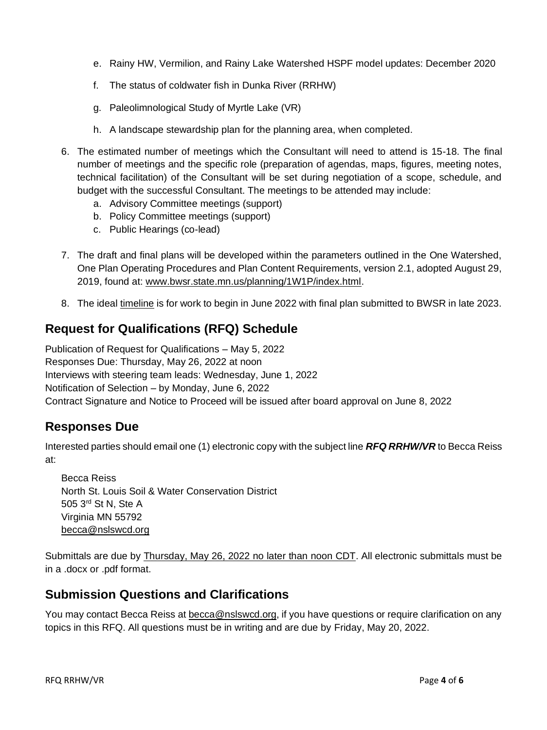- e. Rainy HW, Vermilion, and Rainy Lake Watershed HSPF model updates: December 2020
- f. The status of coldwater fish in Dunka River (RRHW)
- g. Paleolimnological Study of Myrtle Lake (VR)
- h. A landscape stewardship plan for the planning area, when completed.
- 6. The estimated number of meetings which the Consultant will need to attend is 15-18. The final number of meetings and the specific role (preparation of agendas, maps, figures, meeting notes, technical facilitation) of the Consultant will be set during negotiation of a scope, schedule, and budget with the successful Consultant. The meetings to be attended may include:
	- a. Advisory Committee meetings (support)
	- b. Policy Committee meetings (support)
	- c. Public Hearings (co-lead)
- 7. The draft and final plans will be developed within the parameters outlined in the One Watershed, One Plan Operating Procedures and Plan Content Requirements, version 2.1, adopted August 29, 2019, found at: [www.bwsr.state.mn.us/planning/1W1P/index.html.](http://www.bwsr.state.mn.us/planning/1W1P/index.html)
- 8. The ideal [timeline](https://1drv.ms/x/s!AnZQqhBLZDlFgfdM2vzsvMVc499T0Q?e=IEvRvs) is for work to begin in June 2022 with final plan submitted to BWSR in late 2023.

# **Request for Qualifications (RFQ) Schedule**

Publication of Request for Qualifications – May 5, 2022 Responses Due: Thursday, May 26, 2022 at noon Interviews with steering team leads: Wednesday, June 1, 2022 Notification of Selection – by Monday, June 6, 2022 Contract Signature and Notice to Proceed will be issued after board approval on June 8, 2022

### **Responses Due**

Interested parties should email one (1) electronic copy with the subject line *RFQ RRHW/VR* to Becca Reiss at:

Becca Reiss North St. Louis Soil & Water Conservation District 505 3rd St N, Ste A Virginia MN 55792 [becca@nslswcd.org](mailto:becca@nslswcd.org)

Submittals are due by Thursday, May 26, 2022 no later than noon CDT. All electronic submittals must be in a .docx or .pdf format.

### **Submission Questions and Clarifications**

You may contact Becca Reiss at [becca@nslswcd.org,](mailto:becca@nslswcd.org) if you have questions or require clarification on any topics in this RFQ. All questions must be in writing and are due by Friday, May 20, 2022.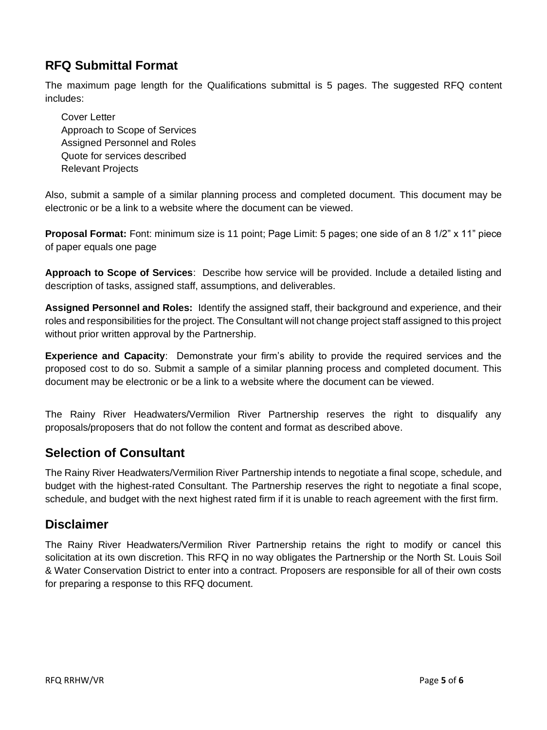# **RFQ Submittal Format**

The maximum page length for the Qualifications submittal is 5 pages. The suggested RFQ content includes:

Cover Letter Approach to Scope of Services Assigned Personnel and Roles Quote for services described Relevant Projects

Also, submit a sample of a similar planning process and completed document. This document may be electronic or be a link to a website where the document can be viewed.

**Proposal Format:** Font: minimum size is 11 point; Page Limit: 5 pages; one side of an 8 1/2" x 11" piece of paper equals one page

**Approach to Scope of Services**: Describe how service will be provided. Include a detailed listing and description of tasks, assigned staff, assumptions, and deliverables.

**Assigned Personnel and Roles:** Identify the assigned staff, their background and experience, and their roles and responsibilities for the project. The Consultant will not change project staff assigned to this project without prior written approval by the Partnership.

**Experience and Capacity**: Demonstrate your firm's ability to provide the required services and the proposed cost to do so. Submit a sample of a similar planning process and completed document. This document may be electronic or be a link to a website where the document can be viewed.

The Rainy River Headwaters/Vermilion River Partnership reserves the right to disqualify any proposals/proposers that do not follow the content and format as described above.

# **Selection of Consultant**

The Rainy River Headwaters/Vermilion River Partnership intends to negotiate a final scope, schedule, and budget with the highest-rated Consultant. The Partnership reserves the right to negotiate a final scope, schedule, and budget with the next highest rated firm if it is unable to reach agreement with the first firm.

### **Disclaimer**

The Rainy River Headwaters/Vermilion River Partnership retains the right to modify or cancel this solicitation at its own discretion. This RFQ in no way obligates the Partnership or the North St. Louis Soil & Water Conservation District to enter into a contract. Proposers are responsible for all of their own costs for preparing a response to this RFQ document.